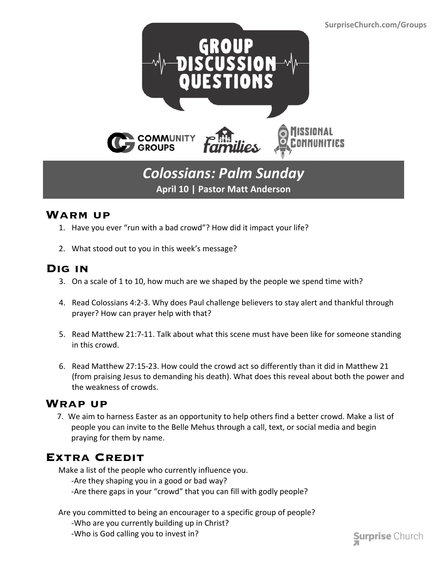

## *Colossians: Palm Sunday* **April 10 | Pastor Matt Anderson**

#### **Warm up**

- 1. Have you ever "run with a bad crowd"? How did it impact your life?
- 2. What stood out to you in this week's message?

#### **Dig in**

- 3. On a scale of 1 to 10, how much are we shaped by the people we spend time with?
- 4. Read Colossians 4:2-3. Why does Paul challenge believers to stay alert and thankful through prayer? How can prayer help with that?
- 5. Read Matthew 21:7-11. Talk about what this scene must have been like for someone standing in this crowd.
- 6. Read Matthew 27:15-23. How could the crowd act so differently than it did in Matthew 21 (from praising Jesus to demanding his death). What does this reveal about both the power and the weakness of crowds.

#### **Wrap up**

 7. We aim to harness Easter as an opportunity to help others find a better crowd. Make a list of people you can invite to the Belle Mehus through a call, text, or social media and begin praying for them by name.

### **Extra Credit**

Make a list of the people who currently influence you. -Are they shaping you in a good or bad way? -Are there gaps in your "crowd" that you can fill with godly people?

- Are you committed to being an encourager to a specific group of people?
	- -Who are you currently building up in Christ?
	- -Who is God calling you to invest in?